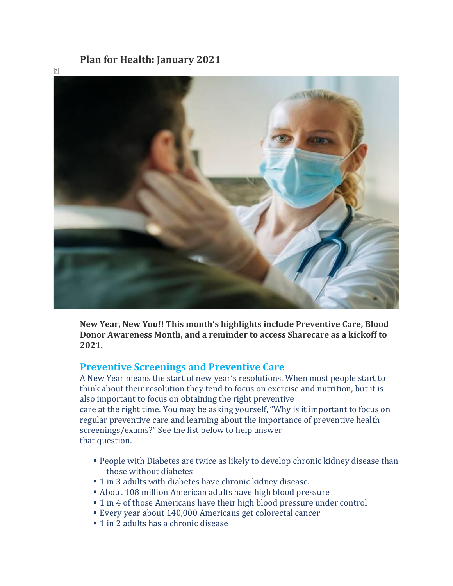# **Plan for Health: January 2021**



**New Year, New You!! This month's highlights include Preventive Care, Blood Donor Awareness Month, and a reminder to access Sharecare as a kickoff to 2021.**

## **Preventive Screenings and Preventive Care**

A New Year means the start of new year's resolutions. When most people start to think about their resolution they tend to focus on exercise and nutrition, but it is also important to focus on obtaining the right preventive care at the right time. You may be asking yourself, "Why is it important to focus on regular preventive care and learning about the importance of preventive health screenings/exams?" See the list below to help answer that question.

- **People with Diabetes are twice as likely to develop chronic kidney disease than** those without diabetes
- 1 in 3 adults with diabetes have chronic kidney disease.
- About 108 million American adults have high blood pressure
- 1 in 4 of those Americans have their high blood pressure under control
- Every year about 140,000 Americans get colorectal cancer
- 1 in 2 adults has a chronic disease

 $\overline{?}$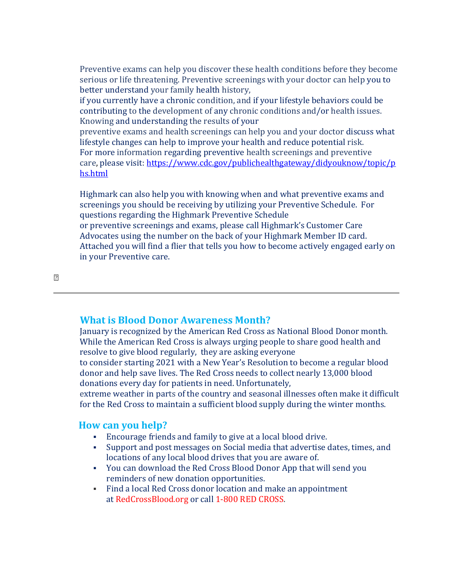Preventive exams can help you discover these health conditions before they become serious or life threatening. Preventive screenings with your doctor can help you to better understand your family health history,

if you currently have a chronic condition, and if your lifestyle behaviors could be contributing to the development of any chronic conditions and/or health issues. Knowing and understanding the results of your

preventive exams and health screenings can help you and your doctor discuss what lifestyle changes can help to improve your health and reduce potential risk. For more information regarding preventive health screenings and preventive care, please visit: [https://www.cdc.gov/publichealthgateway/didyouknow/topic/p](https://www.cdc.gov/publichealthgateway/didyouknow/topic/phs.html) [hs.html](https://www.cdc.gov/publichealthgateway/didyouknow/topic/phs.html)

Highmark can also help you with knowing when and what preventive exams and screenings you should be receiving by utilizing your Preventive Schedule. For questions regarding the Highmark Preventive Schedule or preventive screenings and exams, please call Highmark's Customer Care Advocates using the number on the back of your Highmark Member ID card. Attached you will find a flier that tells you how to become actively engaged early on in your Preventive care.

 $\overline{2}$ 

### **What is Blood Donor Awareness Month?**

January is recognized by the American Red Cross as National Blood Donor month. While the American Red Cross is always urging people to share good health and resolve to give blood regularly, they are asking everyone

to consider starting 2021 with a New Year's Resolution to become a regular blood donor and help save lives. The Red Cross needs to collect nearly 13,000 blood donations every day for patients in need. Unfortunately,

extreme weather in parts of the country and seasonal illnesses often make it difficult for the Red Cross to maintain a sufficient blood supply during the winter months.

#### **How can you help?**

- Encourage friends and family to give at a local blood drive.
- Support and post messages on Social media that advertise dates, times, and locations of any local blood drives that you are aware of.
- You can download the Red Cross Blood Donor App that will send you reminders of new donation opportunities.
- Find a local Red Cross donor location and make an appointment at RedCrossBlood.org or call 1-800 RED CROSS.